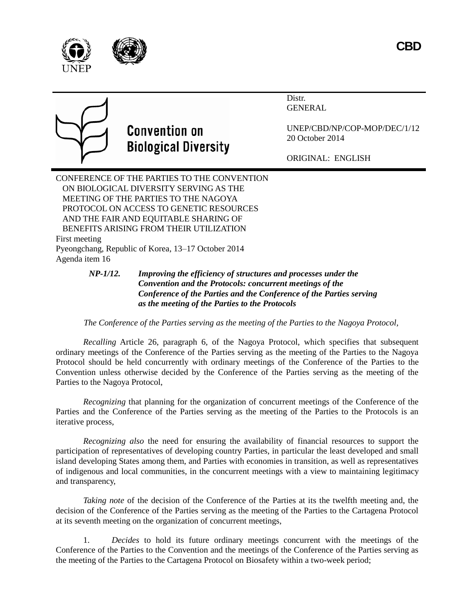



Distr. GENERAL



## **Convention on Biological Diversity**

UNEP/CBD/NP/COP-MOP/DEC/1/12 20 October 2014

ORIGINAL: ENGLISH

CONFERENCE OF THE PARTIES TO THE CONVENTION ON BIOLOGICAL DIVERSITY SERVING AS THE MEETING OF THE PARTIES TO THE NAGOYA PROTOCOL ON ACCESS TO GENETIC RESOURCES AND THE FAIR AND EQUITABLE SHARING OF BENEFITS ARISING FROM THEIR UTILIZATION First meeting Pyeongchang, Republic of Korea, 13–17 October 2014 Agenda item 16

## *NP-1/12. Improving the efficiency of structures and processes under the Convention and the Protocols: concurrent meetings of the Conference of the Parties and the Conference of the Parties serving as the meeting of the Parties to the Protocols*

## *The Conference of the Parties serving as the meeting of the Parties to the Nagoya Protocol,*

*Recalling* Article 26, paragraph 6, of the Nagoya Protocol, which specifies that subsequent ordinary meetings of the Conference of the Parties serving as the meeting of the Parties to the Nagoya Protocol should be held concurrently with ordinary meetings of the Conference of the Parties to the Convention unless otherwise decided by the Conference of the Parties serving as the meeting of the Parties to the Nagoya Protocol,

*Recognizing* that planning for the organization of concurrent meetings of the Conference of the Parties and the Conference of the Parties serving as the meeting of the Parties to the Protocols is an iterative process,

*Recognizing also* the need for ensuring the availability of financial resources to support the participation of representatives of developing country Parties, in particular the least developed and small island developing States among them, and Parties with economies in transition, as well as representatives of indigenous and local communities, in the concurrent meetings with a view to maintaining legitimacy and transparency,

*Taking note* of the decision of the Conference of the Parties at its the twelfth meeting and, the decision of the Conference of the Parties serving as the meeting of the Parties to the Cartagena Protocol at its seventh meeting on the organization of concurrent meetings,

1. *Decides* to hold its future ordinary meetings concurrent with the meetings of the Conference of the Parties to the Convention and the meetings of the Conference of the Parties serving as the meeting of the Parties to the Cartagena Protocol on Biosafety within a two-week period;